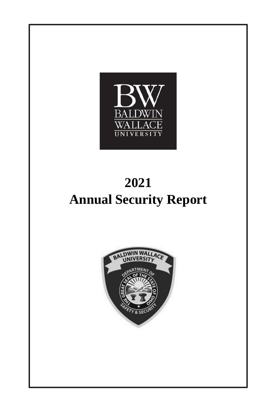

# **2021 Annual Security Report**

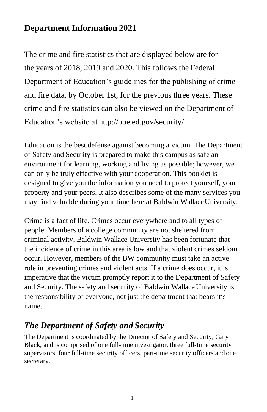### **Department Information 2021**

The crime and fire statistics that are displayed below are for the years of 2018, 2019 and 2020. This follows the Federal Department of Education's guidelines for the publishing of crime and fire data, by October 1st, for the previous three years. These crime and fire statistics can also be viewed on the Department of Education's website at [http://ope.ed.gov/security/.](http://ope.ed.gov/security/)

Education is the best defense against becoming a victim. The Department of Safety and Security is prepared to make this campus as safe an environment for learning, working and living as possible; however, we can only be truly effective with your cooperation. This booklet is designed to give you the information you need to protect yourself, your property and your peers. It also describes some of the many services you may find valuable during your time here at Baldwin Wallace University.

Crime is a fact of life. Crimes occur everywhere and to all types of people. Members of a college community are not sheltered from criminal activity. Baldwin Wallace University has been fortunate that the incidence of crime in this area is low and that violent crimes seldom occur. However, members of the BW community must take an active role in preventing crimes and violent acts. If a crime does occur, it is imperative that the victim promptly report it to the Department of Safety and Security. The safety and security of Baldwin Wallace University is the responsibility of everyone, not just the department that bears it's name.

# *The Department of Safety and Security*

The Department is coordinated by the Director of Safety and Security, Gary Black, and is comprised of one full-time investigator, three full-time security supervisors, four full-time security officers, part-time security officers and one secretary.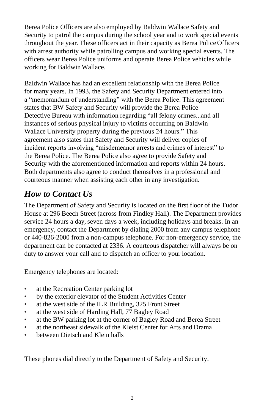Berea Police Officers are also employed by Baldwin Wallace Safety and Security to patrol the campus during the school year and to work special events throughout the year. These officers act in their capacity as Berea Police Officers with arrest authority while patrolling campus and working special events. The officers wear Berea Police uniforms and operate Berea Police vehicles while working for Baldwin Wallace.

Baldwin Wallace has had an excellent relationship with the Berea Police for many years. In 1993, the Safety and Security Department entered into a "memorandum of understanding" with the Berea Police. This agreement states that BW Safety and Security will provide the Berea Police Detective Bureau with information regarding "all felony crimes...and all instances of serious physical injury to victims occurring on Baldwin Wallace University property during the previous 24 hours." This agreement also states that Safety and Security will deliver copies of incident reports involving "misdemeanor arrests and crimes of interest" to the Berea Police. The Berea Police also agree to provide Safety and Security with the aforementioned information and reports within 24 hours. Both departments also agree to conduct themselves in a professional and courteous manner when assisting each other in any investigation.

### *How to Contact Us*

The Department of Safety and Security is located on the first floor of the Tudor House at 296 Beech Street (across from Findley Hall). The Department provides service 24 hours a day, seven days a week, including holidays and breaks. In an emergency, contact the Department by dialing 2000 from any campus telephone or 440-826-2000 from a non-campus telephone. For non-emergency service, the department can be contacted at 2336. A courteous dispatcher will always be on duty to answer your call and to dispatch an officer to your location.

Emergency telephones are located:

- at the Recreation Center parking lot
- by the exterior elevator of the Student Activities Center
- at the west side of the ILR Building, 325 Front Street
- at the west side of Harding Hall, 77 Bagley Road
- at the BW parking lot at the corner of Bagley Road and Berea Street
- at the northeast sidewalk of the Kleist Center for Arts and Drama
- between Dietsch and Klein halls

These phones dial directly to the Department of Safety and Security.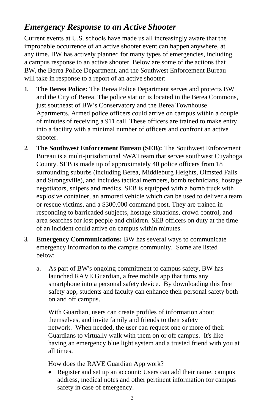### *Emergency Response to an Active Shooter*

Current events at U.S. schools have made us all increasingly aware that the improbable occurrence of an active shooter event can happen anywhere, at any time. BW has actively planned for many types of emergencies, including a campus response to an active shooter. Below are some of the actions that BW, the Berea Police Department, and the Southwest Enforcement Bureau will take in response to a report of an active shooter:

- **1. The Berea Police:** The Berea Police Department serves and protects BW and the City of Berea. The police station is located in the Berea Commons, just southeast of BW's Conservatory and the Berea Townhouse Apartments. Armed police officers could arrive on campus within a couple of minutes of receiving a 911 call. These officers are trained to make entry into a facility with a minimal number of officers and confront an active shooter.
- **2. The Southwest Enforcement Bureau (SEB):** The Southwest Enforcement Bureau is a multi-jurisdictional SWAT team that serves southwest Cuyahoga County. SEB is made up of approximately 40 police officers from 18 surrounding suburbs (including Berea, Middleburg Heights, Olmsted Falls and Strongsville), and includes tactical members, bomb technicians, hostage negotiators, snipers and medics. SEB is equipped with a bomb truck with explosive container, an armored vehicle which can be used to deliver a team or rescue victims, and a \$300,000 command post. They are trained in responding to barricaded subjects, hostage situations, crowd control, and area searches for lost people and children. SEB officers on duty at the time of an incident could arrive on campus within minutes.
- **3. Emergency Communications:** BW has several ways to communicate emergency information to the campus community. Some are listed below:
	- a. As part of BW's ongoing commitment to campus safety, BW has launched RAVE Guardian, a free mobile app that turns any smartphone into a personal safety device. By downloading this free safety app, students and faculty can enhance their personal safety both on and off campus.

With Guardian, users can create profiles of information about themselves, and invite family and friends to their safety network. When needed, the user can request one or more of their Guardians to virtually walk with them on or off campus. It's like having an emergency blue light system and a trusted friend with you at all times.

How does the RAVE Guardian App work?

Register and set up an account: Users can add their name, campus address, medical notes and other pertinent information for campus safety in case of emergency.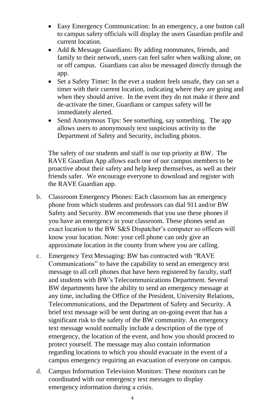- Easy Emergency Communication: In an emergency, a one button call to campus safety officials will display the users Guardian profile and current location.
- Add & Message Guardians: By adding roommates, friends, and family to their network, users can feel safer when walking alone, on or off campus. Guardians can also be messaged directly through the app.
- Set a Safety Timer: In the evet a student feels unsafe, they can set a timer with their current location, indicating where they are going and when they should arrive. In the event they do not make it there and de-activate the timer, Guardians or campus safety will be immediately alerted.
- Send Anonymous Tips: See something, say something. The app allows users to anonymously text suspicious activity to the Department of Safety and Security, including photos.

The safety of our students and staff is our top priority at BW. The RAVE Guardian App allows each one of our campus members to be proactive about their safety and help keep themselves, as well as their friends safer. We encourage everyone to download and register with the RAVE Guardian app.

- b. Classroom Emergency Phones: Each classroom has an emergency phone from which students and professors can dial 911 and/or BW Safety and Security. BW recommends that you use these phones if you have an emergency in your classroom. These phones send an exact location to the BW S&S Dispatcher's computer so officers will know your location. Note: your cell phone can only give an approximate location in the county from where you are calling.
- c. Emergency Text Messaging: BW has contracted with "RAVE Communications" to have the capability to send an emergency text message to all cell phones that have been registered by faculty, staff and students with BW's Telecommunications Department. Several BW departments have the ability to send an emergency message at any time, including the Office of the President, University Relations, Telecommunications, and the Department of Safety and Security. A brief text message will be sent during an on-going event that has a significant risk to the safety of the BW community. An emergency text message would normally include a description of the type of emergency, the location of the event, and how you should proceed to protect yourself. The message may also contain information regarding locations to which you should evacuate in the event of a campus emergency requiring an evacuation of everyone on campus.
- d. Campus Information Television Monitors: These monitors can be coordinated with our emergency text messages to display emergency information during a crisis.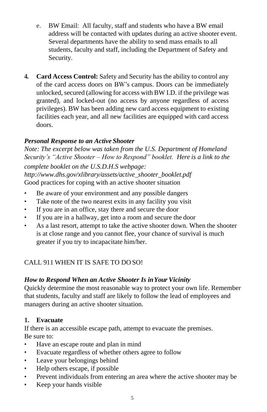- e. BW Email: All faculty, staff and students who have a BW email address will be contacted with updates during an active shooter event. Several departments have the ability to send mass emails to all students, faculty and staff, including the Department of Safety and Security.
- **4. Card Access Control:** Safety and Security has the ability to control any of the card access doors on BW's campus. Doors can be immediately unlocked, secured (allowing for access with BW I.D. if the privilege was granted), and locked-out (no access by anyone regardless of access privileges). BW has been adding new card access equipment to existing facilities each year, and all new facilities are equipped with card access doors.

#### *Personal Response to an Active Shooter*

*Note: The excerpt below was taken from the U.S. Department of Homeland Security's "Active Shooter – How to Respond" booklet. Here is a link to the complete booklet on the U.S.D.H.S webpage: [http://www.dhs.gov/xlibrary/assets/active\\_shooter\\_booklet.pdf](http://www.dhs.gov/xlibrary/assets/active_shooter_booklet.pdf)* Good practices for coping with an active shooter situation

- Be aware of your environment and any possible dangers
- Take note of the two nearest exits in any facility you visit
- If you are in an office, stay there and secure the door
- If you are in a hallway, get into a room and secure the door
- As a last resort, attempt to take the active shooter down. When the shooter is at close range and you cannot flee, your chance of survival is much greater if you try to incapacitate him/her.

#### CALL 911 WHEN IT IS SAFE TO DO SO!

#### *How to Respond When an Active Shooter Is inYour Vicinity*

Quickly determine the most reasonable way to protect your own life. Remember that students, faculty and staff are likely to follow the lead of employees and managers during an active shooter situation.

#### **1. Evacuate**

If there is an accessible escape path, attempt to evacuate the premises. Be sure to:

- Have an escape route and plan in mind
- Evacuate regardless of whether others agree to follow
- Leave your belongings behind
- Help others escape, if possible
- Prevent individuals from entering an area where the active shooter may be
- Keep your hands visible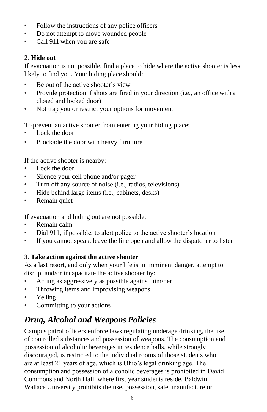- Follow the instructions of any police officers
- Do not attempt to move wounded people
- Call 911 when you are safe

#### **2. Hide out**

If evacuation is not possible, find a place to hide where the active shooter is less likely to find you. Your hiding place should:

- Be out of the active shooter's view
- Provide protection if shots are fired in your direction (i.e., an office with a closed and locked door)
- Not trap you or restrict your options for movement

To prevent an active shooter from entering your hiding place:

- Lock the door
- Blockade the door with heavy furniture

If the active shooter is nearby:

- Lock the door
- Silence your cell phone and/or pager
- Turn off any source of noise (i.e., radios, televisions)
- Hide behind large items (i.e., cabinets, desks)
- Remain quiet

If evacuation and hiding out are not possible:

- Remain calm
- Dial 911, if possible, to alert police to the active shooter's location
- If you cannot speak, leave the line open and allow the dispatcher to listen

#### **3. Take action against the active shooter**

As a last resort, and only when your life is in imminent danger, attempt to disrupt and/or incapacitate the active shooter by:

- Acting as aggressively as possible against him/her
- Throwing items and improvising weapons
- Yelling
- Committing to your actions

# *Drug, Alcohol and Weapons Policies*

Campus patrol officers enforce laws regulating underage drinking, the use of controlled substances and possession of weapons. The consumption and possession of alcoholic beverages in residence halls, while strongly discouraged, is restricted to the individual rooms of those students who are at least 21 years of age, which is Ohio's legal drinking age. The consumption and possession of alcoholic beverages is prohibited in David Commons and North Hall, where first year students reside. Baldwin Wallace University prohibits the use, possession, sale, manufacture or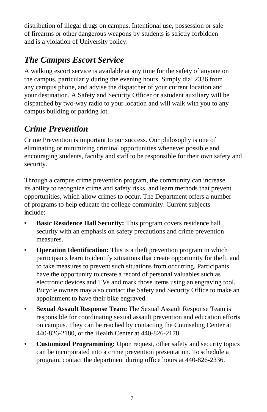distribution of illegal drugs on campus. Intentional use, possession or sale of firearms or other dangerous weapons by students is strictly forbidden and is a violation of University policy.

# *The Campus Escort Service*

A walking escort service is available at any time for the safety of anyone on the campus, particularly during the evening hours. Simply dial 2336 from any campus phone, and advise the dispatcher of your current location and your destination. A Safety and Security Officer or astudent auxiliary will be dispatched by two-way radio to your location and will walk with you to any campus building or parking lot.

# *Crime Prevention*

Crime Prevention is important to our success. Our philosophy is one of eliminating or minimizing criminal opportunities whenever possible and encouraging students, faculty and staff to be responsible for their own safety and security.

Through a campus crime prevention program, the community can increase its ability to recognize crime and safety risks, and learn methods that prevent opportunities, which allow crimes to occur. The Department offers a number of programs to help educate the college community. Current subjects include:

- **• Basic Residence Hall Security:** This program covers residence hall security with an emphasis on safety precautions and crime prevention measures.
- **• Operation Identification:** This is a theft prevention program in which participants learn to identify situations that create opportunity for theft, and to take measures to prevent such situations from occurring. Participants have the opportunity to create a record of personal valuables such as electronic devices and TVs and mark those items using an engraving tool. Bicycle owners may also contact the Safety and Security Office to make an appointment to have their bike engraved.
- **• Sexual Assault Response Team:** The Sexual Assault Response Team is responsible for coordinating sexual assault prevention and education efforts on campus. They can be reached by contacting the Counseling Center at 440-826-2180, or the Health Center at 440-826-2178.
- **• Customized Programming:** Upon request, other safety and security topics can be incorporated into a crime prevention presentation. To schedule a program, contact the department during office hours at 440-826-2336.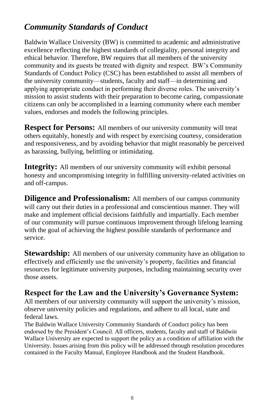# *Community Standards of Conduct*

Baldwin Wallace University (BW) is committed to academic and administrative excellence reflecting the highest standards of collegiality, personal integrity and ethical behavior. Therefore, BW requires that all members of the university community and its guests be treated with dignity and respect. BW's Community Standards of Conduct Policy (CSC) has been established to assist all members of the university community—students, faculty and staff—in determining and applying appropriate conduct in performing their diverse roles. The university's mission to assist students with their preparation to become caring, compassionate citizens can only be accomplished in a learning community where each member values, endorses and models the following principles.

**Respect for Persons:** All members of our university community will treat others equitably, honestly and with respect by exercising courtesy, consideration and responsiveness, and by avoiding behavior that might reasonably be perceived as harassing, bullying, belittling or intimidating.

**Integrity:** All members of our university community will exhibit personal honesty and uncompromising integrity in fulfilling university-related activities on and off-campus.

**Diligence and Professionalism:** All members of our campus community will carry out their duties in a professional and conscientious manner. They will make and implement official decisions faithfully and impartially. Each member of our community will pursue continuous improvement through lifelong learning with the goal of achieving the highest possible standards of performance and service.

**Stewardship:** All members of our university community have an obligation to effectively and efficiently use the university's property, facilities and financial resources for legitimate university purposes, including maintaining security over those assets.

### **Respect for the Law and the University's Governance System:**

All members of our university community will support the university's mission, observe university policies and regulations, and adhere to all local, state and federal laws.

The Baldwin Wallace University Community Standards of Conduct policy has been endorsed by the President's Council. All officers, students, faculty and staff of Baldwin Wallace University are expected to support the policy as a condition of affiliation with the University. Issues arising from this policy will be addressed through resolution procedures contained in the Faculty Manual, Employee Handbook and the Student Handbook.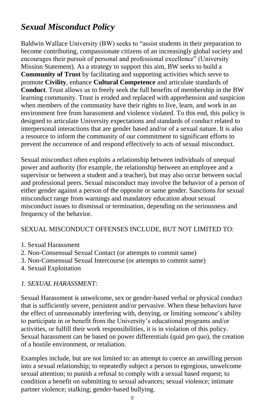# *Sexual Misconduct Policy*

Baldwin Wallace University (BW) seeks to "assist students in their preparation to become contributing, compassionate citizens of an increasingly global society and encourages their pursuit of personal and professional excellence" (University Mission Statement). As a strategy to support this aim, BW seeks to build a **Community of Trust** by facilitating and supporting activities which serve to promote **Civility**, enhance **Cultural Competence** and articulate standards of **Conduct**. Trust allows us to freely seek the full benefits of membership in the BW learning community. Trust is eroded and replaced with apprehension and suspicion when members of the community have their rights to live, learn, and work in an environment free from harassment and violence violated. To this end, this policy is designed to articulate University expectations and standards of conduct related to interpersonal interactions that are gender based and/or of a sexual nature. It is also a resource to inform the community of our commitment to significant efforts to prevent the occurrence of and respond effectively to acts of sexual misconduct.

Sexual misconduct often exploits a relationship between individuals of unequal power and authority (for example, the relationship between an employee and a supervisor or between a student and a teacher), but may also occur between social and professional peers. Sexual misconduct may involve the behavior of a person of either gender against a person of the opposite or same gender. Sanctions for sexual misconduct range from warnings and mandatory education about sexual misconduct issues to dismissal or termination, depending on the seriousness and frequency of the behavior.

#### SEXUAL MISCONDUCT OFFENSES INCLUDE, BUT NOT LIMITED TO:

- 1. Sexual Harassment
- 2. Non‐Consensual Sexual Contact (or attempts to commit same)
- 3. Non‐Consensual Sexual Intercourse (or attempts to commit same)
- 4. Sexual Exploitation

#### *1. SEXUAL HARASSMENT:*

Sexual Harassment is unwelcome, sex or gender‐based verbal or physical conduct that is sufficiently severe, persistent and/or pervasive. When these behaviors have the effect of unreasonably interfering with, denying, or limiting someone's ability to participate in or benefit from the University's educational programs and/or activities, or fulfill their work responsibilities, it is in violation of this policy. Sexual harassment can be based on power differentials (quid pro quo), the creation of a hostile environment, or retaliation.

Examples include, but are not limited to: an attempt to coerce an unwilling person into a sexual relationship; to repeatedly subject a person to egregious, unwelcome sexual attention; to punish a refusal to comply with a sexual based request; to condition a benefit on submitting to sexual advances; sexual violence; intimate partner violence; stalking; gender‐based bullying.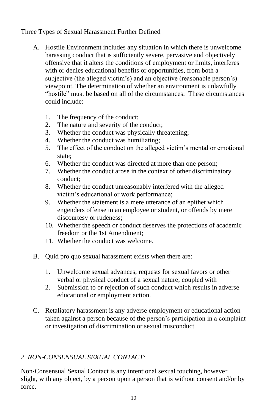#### Three Types of Sexual Harassment Further Defined

- A. Hostile Environment includes any situation in which there is unwelcome harassing conduct that is sufficiently severe, pervasive and objectively offensive that it alters the conditions of employment or limits, interferes with or denies educational benefits or opportunities, from both a subjective (the alleged victim's) and an objective (reasonable person's) viewpoint. The determination of whether an environment is unlawfully "hostile" must be based on all of the circumstances. These circumstances could include:
	- 1. The frequency of the conduct;
	- 2. The nature and severity of the conduct;
	- 3. Whether the conduct was physically threatening;
	- 4. Whether the conduct was humiliating;
	- 5. The effect of the conduct on the alleged victim's mental or emotional state;
	- 6. Whether the conduct was directed at more than one person;
	- 7. Whether the conduct arose in the context of other discriminatory conduct;
	- 8. Whether the conduct unreasonably interfered with the alleged victim's educational or work performance;
	- 9. Whether the statement is a mere utterance of an epithet which engenders offense in an employee or student, or offends by mere discourtesy or rudeness;
	- 10. Whether the speech or conduct deserves the protections of academic freedom or the 1st Amendment;
	- 11. Whether the conduct was welcome.
- B. Quid pro quo sexual harassment exists when there are:
	- 1. Unwelcome sexual advances, requests for sexual favors or other verbal or physical conduct of a sexual nature; coupled with
	- 2. Submission to or rejection of such conduct which results in adverse educational or employment action.
- C. Retaliatory harassment is any adverse employment or educational action taken against a person because of the person's participation in a complaint or investigation of discrimination or sexual misconduct.

#### *2. NON*‐*CONSENSUAL SEXUAL CONTACT:*

Non‐Consensual Sexual Contact is any intentional sexual touching, however slight, with any object, by a person upon a person that is without consent and/or by force.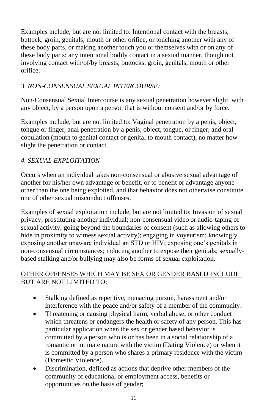Examples include, but are not limited to: Intentional contact with the breasts, buttock, groin, genitals, mouth or other orifice, or touching another with any of these body parts, or making another touch you or themselves with or on any of these body parts; any intentional bodily contact in a sexual manner, though not involving contact with/of/by breasts, buttocks, groin, genitals, mouth or other orifice.

#### *3. NON*‐*CONSENSUAL SEXUAL INTERCOURSE:*

Non‐Consensual Sexual Intercourse is any sexual penetration however slight, with any object, by a person upon a person that is without consent and/or by force.

Examples include, but are not limited to: Vaginal penetration by a penis, object, tongue or finger, anal penetration by a penis, object, tongue, or finger, and oral copulation (mouth to genital contact or genital to mouth contact), no matter how slight the penetration or contact.

#### *4. SEXUAL EXPLOITATION*

Occurs when an individual takes non‐consensual or abusive sexual advantage of another for his/her own advantage or benefit, or to benefit or advantage anyone other than the one being exploited, and that behavior does not otherwise constitute one of other sexual misconduct offenses.

Examples of sexual exploitation include, but are not limited to: Invasion of sexual privacy; prostituting another individual; non‐consensual video or audio‐taping of sexual activity; going beyond the boundaries of consent (such as allowing others to hide in proximity to witness sexual activity); engaging in voyeurism; knowingly exposing another unaware individual an STD or HIV; exposing one's genitals in non-consensual circumstances; inducing another to expose their genitals; sexuallybased stalking and/or bullying may also be forms of sexual exploitation.

#### OTHER OFFENSES WHICH MAY BE SEX OR GENDER BASED INCLUDE BUT ARE NOT LIMITED TO:

- Stalking defined as repetitive, menacing pursuit, harassment and/or interference with the peace and/or safety of a member of the community.
- Threatening or causing physical harm, verbal abuse, or other conduct which threatens or endangers the health or safety of any person. This has particular application when the sex or gender based behavior is committed by a person who is or has been in a social relationship of a romantic or intimate nature with the victim (Dating Violence) or when it is committed by a person who shares a primary residence with the victim (Domestic Violence).
- Discrimination, defined as actions that deprive other members of the community of educational or employment access, benefits or opportunities on the basis of gender;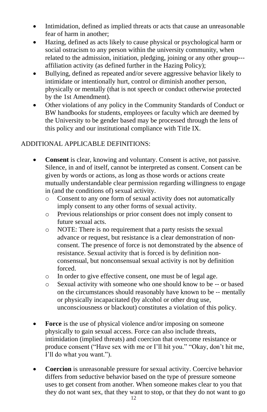- Intimidation, defined as implied threats or acts that cause an unreasonable fear of harm in another;
- Hazing, defined as acts likely to cause physical or psychological harm or social ostracism to any person within the university community, when related to the admission, initiation, pledging, joining or any other group‐‐‐ affiliation activity (as defined further in the Hazing Policy);
- Bullying, defined as repeated and/or severe aggressive behavior likely to intimidate or intentionally hurt, control or diminish another person, physically or mentally (that is not speech or conduct otherwise protected by the 1st Amendment).
- Other violations of any policy in the Community Standards of Conduct or BW handbooks for students, employees or faculty which are deemed by the University to be gender based may be processed through the lens of this policy and our institutional compliance with Title IX.

#### ADDITIONAL APPLICABLE DEFINITIONS:

- **Consent** is clear, knowing and voluntary. Consent is active, not passive. Silence, in and of itself, cannot be interpreted as consent. Consent can be given by words or actions, as long as those words or actions create mutually understandable clear permission regarding willingness to engage in (and the conditions of) sexual activity.
	- o Consent to any one form of sexual activity does not automatically imply consent to any other forms of sexual activity.
	- o Previous relationships or prior consent does not imply consent to future sexual acts.
	- o NOTE: There is no requirement that a party resists the sexual advance or request, but resistance is a clear demonstration of non‐ consent. The presence of force is not demonstrated by the absence of resistance. Sexual activity that is forced is by definition non‐ consensual, but nonconsensual sexual activity is not by definition forced.
	- o In order to give effective consent, one must be of legal age.
	- o Sexual activity with someone who one should know to be ‐‐ or based on the circumstances should reasonably have known to be ‐‐ mentally or physically incapacitated (by alcohol or other drug use, unconsciousness or blackout) constitutes a violation of this policy.
- Force is the use of physical violence and/or imposing on someone physically to gain sexual access. Force can also include threats, intimidation (implied threats) and coercion that overcome resistance or produce consent ("Have sex with me or I'll hit you." "Okay, don't hit me, I'll do what you want.").
- **Coercion** is unreasonable pressure for sexual activity. Coercive behavior differs from seductive behavior based on the type of pressure someone uses to get consent from another. When someone makes clear to you that they do not want sex, that they want to stop, or that they do not want to go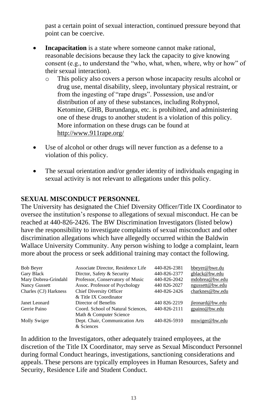past a certain point of sexual interaction, continued pressure beyond that point can be coercive.

- **Incapacitation** is a state where someone cannot make rational, reasonable decisions because they lack the capacity to give knowing consent (e.g., to understand the "who, what, when, where, why or how" of their sexual interaction).
	- o This policy also covers a person whose incapacity results alcohol or drug use, mental disability, sleep, involuntary physical restraint, or from the ingesting of "rape drugs". Possession, use and/or distribution of any of these substances, including Rohypnol, Ketomine, GHB, Burundanga, etc. is prohibited, and administering one of these drugs to another student is a violation of this policy. More information on these drugs can be found at <http://www.911rape.org/>
- Use of alcohol or other drugs will never function as a defense to a violation of this policy.
- The sexual orientation and/or gender identity of individuals engaging in sexual activity is not relevant to allegations under this policy.

#### **SEXUAL MISCONDUCT PERSONNEL**

The University has designated the Chief Diversity Officer/Title IX Coordinator to oversee the institution's response to allegations of sexual misconduct. He can be reached at 440‐826‐2426. The BW Discrimination Investigators (listed below) have the responsibility to investigate complaints of sexual misconduct and other discrimination allegations which have allegedly occurred within the Baldwin Wallace University Community. Any person wishing to lodge a complaint, learn more about the process or seek additional training may contact the following.

| <b>Bob Bever</b>      | Associate Director, Residence Life            | 440-826-2381 | bbeyer@bwe.du   |
|-----------------------|-----------------------------------------------|--------------|-----------------|
| Gary Black            | Diretor, Safety & Security                    | 440-826-2377 | gblack@bw.edu   |
| Mary Dobrea-Grindahl  | Professor, Conservatory of Music              | 440-826-2042 | mdobrea@bw.edu  |
| Nancy Gussett         | Assoc. Professor of Psychology                | 440 826-2027 | ngussett@bw.edu |
| Charles (CJ) Harkness | Chief Diversity Officer                       | 440-826-2426 | charknes@bw.edu |
|                       | & Title IX Coordinator                        |              |                 |
| Janet Leonard         | Director of Benefits                          | 440 826-2219 | jleonard@bw.edu |
| Gerrie Paino          | Coord. School of Natural Sciences,            | 440-826-2111 | gpaino@bw.edu   |
|                       | Math & Computer Science                       |              |                 |
| Molly Swiger          | Dept. Chair, Communication Arts<br>& Sciences | 440-826-5910 | mswiger@bw.edu  |

In addition to the Investigators, other adequately trained employees, at the discretion of the Title IX Coordinator, may serve as Sexual Misconduct Personnel during formal Conduct hearings, investigations, sanctioning considerations and appeals. These persons are typically employees in Human Resources, Safety and Security, Residence Life and Student Conduct.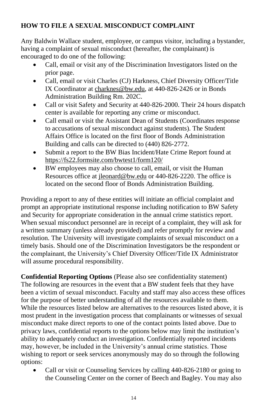#### **HOW TO FILE A SEXUAL MISCONDUCT COMPLAINT**

Any Baldwin Wallace student, employee, or campus visitor, including a bystander, having a complaint of sexual misconduct (hereafter, the complainant) is encouraged to do one of the following:

- Call, email or visit any of the Discrimination Investigators listed on the prior page.
- Call, email or visit Charles (CJ) Harkness, Chief Diversity Officer/Title IX Coordinator a[t charknes@bw.edu,](mailto:charknes@bw.edu) at 440‐826‐2426 or in Bonds Administration Building Rm. 202C.
- Call or visit Safety and Security at 440-826-2000. Their 24 hours dispatch center is available for reporting any crime or misconduct.
- Call email or visit the Assistant Dean of Students (Coordinates response to accusations of sexual misconduct against students). The Student Affairs Office is located on the first floor of Bonds Administration Building and calls can be directed to (440) 826‐2772.
- Submit a report to the BW Bias Incident/Hate Crime Report found at <https://fs22.formsite.com/bwtest1/form120/>
- BW employees may also choose to call, email, or visit the Human Resources office at [jleonard@bw.edu](mailto:jleonard@bw.edu) or 440‐826‐2220. The office is located on the second floor of Bonds Administration Building.

Providing a report to any of these entities will initiate an official complaint and prompt an appropriate institutional response including notification to BW Safety and Security for appropriate consideration in the annual crime statistics report. When sexual misconduct personnel are in receipt of a complaint, they will ask for a written summary (unless already provided) and refer promptly for review and resolution. The University will investigate complaints of sexual misconduct on a timely basis. Should one of the Discrimination Investigators be the respondent or the complainant, the University's Chief Diversity Officer/Title IX Administrator will assume procedural responsibility.

**Confidential Reporting Options** (Please also see confidentiality statement) The following are resources in the event that a BW student feels that they have been a victim of sexual misconduct. Faculty and staff may also access these offices for the purpose of better understanding of all the resources available to them. While the resources listed below are alternatives to the resources listed above, it is most prudent in the investigation process that complainants or witnesses of sexual misconduct make direct reports to one of the contact points listed above. Due to privacy laws, confidential reports to the options below may limit the institution's ability to adequately conduct an investigation. Confidentially reported incidents may, however, be included in the University's annual crime statistics. Those wishing to report or seek services anonymously may do so through the following options:

• Call or visit or Counseling Services by calling 440‐826‐2180 or going to the Counseling Center on the corner of Beech and Bagley. You may also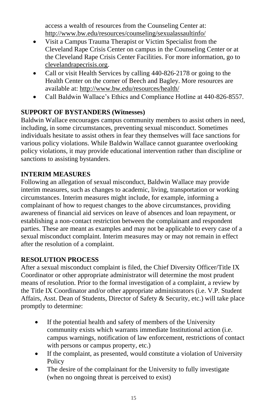access a wealth of resources from the Counseling Center at: <http://www.bw.edu/resources/counseling/sexualassaultinfo/>

- Visit a Campus Trauma Therapist or Victim Specialist from the Cleveland Rape Crisis Center on campus in the Counseling Center or at the Cleveland Rape Crisis Center Facilities. For more information, go to clevelandrapecrisis.org.
- Call or visit Health Services by calling 440-826‐2178 or going to the Health Center on the corner of Beech and Bagley. More resources are available at:<http://www.bw.edu/resources/health/>
- Call Baldwin Wallace's Ethics and Compliance Hotline at 440-826-8557.

#### **SUPPORT OF BYSTANDERS (Witnesses)**

Baldwin Wallace encourages campus community members to assist others in need, including, in some circumstances, preventing sexual misconduct. Sometimes individuals hesitate to assist others in fear they themselves will face sanctions for various policy violations. While Baldwin Wallace cannot guarantee overlooking policy violations, it may provide educational intervention rather than discipline or sanctions to assisting bystanders.

#### **INTERIM MEASURES**

Following an allegation of sexual misconduct, Baldwin Wallace may provide interim measures, such as changes to academic, living, transportation or working circumstances. Interim measures might include, for example, informing a complainant of how to request changes to the above circumstances, providing awareness of financial aid services on leave of absences and loan repayment, or establishing a non-contact restriction between the complainant and respondent parties. These are meant as examples and may not be applicable to every case of a sexual misconduct complaint. Interim measures may or may not remain in effect after the resolution of a complaint.

#### **RESOLUTION PROCESS**

After a sexual misconduct complaint is filed, the Chief Diversity Officer/Title IX Coordinator or other appropriate administrator will determine the most prudent means of resolution. Prior to the formal investigation of a complaint, a review by the Title IX Coordinator and/or other appropriate administrators (i.e. V.P. Student Affairs, Asst. Dean of Students, Director of Safety & Security, etc.) will take place promptly to determine:

- If the potential health and safety of members of the University community exists which warrants immediate Institutional action (i.e. campus warnings, notification of law enforcement, restrictions of contact with persons or campus property, etc.)
- If the complaint, as presented, would constitute a violation of University Policy
- The desire of the complainant for the University to fully investigate (when no ongoing threat is perceived to exist)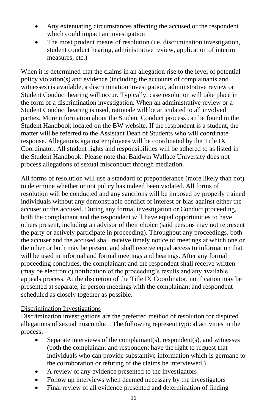- Any extenuating circumstances affecting the accused or the respondent which could impact an investigation
- The most prudent means of resolution (i.e. discrimination investigation, student conduct hearing, administrative review, application of interim measures, etc.)

When it is determined that the claims in an allegation rise to the level of potential policy violation(s) and evidence (including the accounts of complainants and witnesses) is available, a discrimination investigation, administrative review or Student Conduct hearing will occur. Typically, case resolution will take place in the form of a discrimination investigation. When an administrative review or a Student Conduct hearing is used, rationale will be articulated to all involved parties. More information about the Student Conduct process can be found in the Student Handbook located on the BW website. If the respondent is a student, the matter will be referred to the Assistant Dean of Students who will coordinate response. Allegations against employees will be coordinated by the Title IX Coordinator. All student rights and responsibilities will be adhered to as listed in the Student Handbook. Please note that Baldwin Wallace University does not process allegations of sexual misconduct through mediation.

All forms of resolution will use a standard of preponderance (more likely than not) to determine whether or not policy has indeed been violated. All forms of resolution will be conducted and any sanctions will be imposed by properly trained individuals without any demonstrable conflict of interest or bias against either the accuser or the accused. During any formal investigation or Conduct proceeding, both the complainant and the respondent will have equal opportunities to have others present, including an advisor of their choice (said persons may not represent the party or actively participate in proceeding). Throughout any proceedings, both the accuser and the accused shall receive timely notice of meetings at which one or the other or both may be present and shall receive equal access to information that will be used in informal and formal meetings and hearings. After any formal proceeding concludes, the complainant and the respondent shall receive written (may be electronic) notification of the proceeding's results and any available appeals process. At the discretion of the Title IX Coordinator, notification may be presented at separate, in person meetings with the complainant and respondent scheduled as closely together as possible.

#### Discrimination Investigations

Discrimination investigations are the preferred method of resolution for disputed allegations of sexual misconduct. The following represent typical activities in the process:

- Separate interviews of the complainant(s), respondent(s), and witnesses (both the complainant and respondent have the right to request that individuals who can provide substantive information which is germane to the corroboration or refuting of the claims be interviewed.)
- A review of any evidence presented to the investigators
- Follow up interviews when deemed necessary by the investigators
- Final review of all evidence presented and determination of finding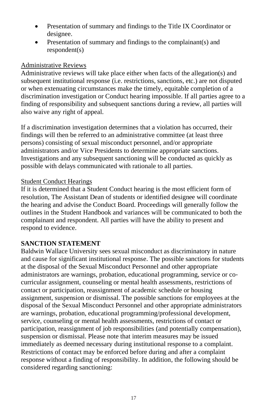- Presentation of summary and findings to the Title IX Coordinator or designee.
- Presentation of summary and findings to the complainant(s) and respondent(s)

#### Administrative Reviews

Administrative reviews will take place either when facts of the allegation(s) and subsequent institutional response (i.e. restrictions, sanctions, etc.) are not disputed or when extenuating circumstances make the timely, equitable completion of a discrimination investigation or Conduct hearing impossible. If all parties agree to a finding of responsibility and subsequent sanctions during a review, all parties will also waive any right of appeal.

If a discrimination investigation determines that a violation has occurred, their findings will then be referred to an administrative committee (at least three persons) consisting of sexual misconduct personnel, and/or appropriate administrators and/or Vice Presidents to determine appropriate sanctions. Investigations and any subsequent sanctioning will be conducted as quickly as possible with delays communicated with rationale to all parties.

#### Student Conduct Hearings

If it is determined that a Student Conduct hearing is the most efficient form of resolution, The Assistant Dean of students or identified designee will coordinate the hearing and advise the Conduct Board. Proceedings will generally follow the outlines in the Student Handbook and variances will be communicated to both the complainant and respondent. All parties will have the ability to present and respond to evidence.

#### **SANCTION STATEMENT**

Baldwin Wallace University sees sexual misconduct as discriminatory in nature and cause for significant institutional response. The possible sanctions for students at the disposal of the Sexual Misconduct Personnel and other appropriate administrators are warnings, probation, educational programming, service or cocurricular assignment, counseling or mental health assessments, restrictions of contact or participation, reassignment of academic schedule or housing assignment, suspension or dismissal. The possible sanctions for employees at the disposal of the Sexual Misconduct Personnel and other appropriate administrators are warnings, probation, educational programming/professional development, service, counseling or mental health assessments, restrictions of contact or participation, reassignment of job responsibilities (and potentially compensation), suspension or dismissal. Please note that interim measures may be issued immediately as deemed necessary during institutional response to a complaint. Restrictions of contact may be enforced before during and after a complaint response without a finding of responsibility. In addition, the following should be considered regarding sanctioning: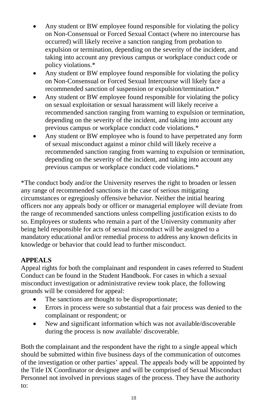- Any student or BW employee found responsible for violating the policy on Non‐Consensual or Forced Sexual Contact (where no intercourse has occurred) will likely receive a sanction ranging from probation to expulsion or termination, depending on the severity of the incident, and taking into account any previous campus or workplace conduct code or policy violations.\*
- Any student or BW employee found responsible for violating the policy on Non‐Consensual or Forced Sexual Intercourse will likely face a recommended sanction of suspension or expulsion/termination.\*
- Any student or BW employee found responsible for violating the policy on sexual exploitation or sexual harassment will likely receive a recommended sanction ranging from warning to expulsion or termination, depending on the severity of the incident, and taking into account any previous campus or workplace conduct code violations.\*
- Any student or BW employee who is found to have perpetrated any form of sexual misconduct against a minor child will likely receive a recommended sanction ranging from warning to expulsion or termination, depending on the severity of the incident, and taking into account any previous campus or workplace conduct code violations.\*

\*The conduct body and/or the University reserves the right to broaden or lessen any range of recommended sanctions in the case of serious mitigating circumstances or egregiously offensive behavior. Neither the initial hearing officers nor any appeals body or officer or managerial employee will deviate from the range of recommended sanctions unless compelling justification exists to do so. Employees or students who remain a part of the University community after being held responsible for acts of sexual misconduct will be assigned to a mandatory educational and/or remedial process to address any known deficits in knowledge or behavior that could lead to further misconduct.

#### **APPEALS**

Appeal rights for both the complainant and respondent in cases referred to Student Conduct can be found in the Student Handbook. For cases in which a sexual misconduct investigation or administrative review took place, the following grounds will be considered for appeal:

- The sanctions are thought to be disproportionate;
- Errors in process were so substantial that a fair process was denied to the complainant or respondent; or
- New and significant information which was not available/discoverable during the process is now available/ discoverable.

Both the complainant and the respondent have the right to a single appeal which should be submitted within five business days of the communication of outcomes of the investigation or other parties' appeal. The appeals body will be appointed by the Title IX Coordinator or designee and will be comprised of Sexual Misconduct Personnel not involved in previous stages of the process. They have the authority to: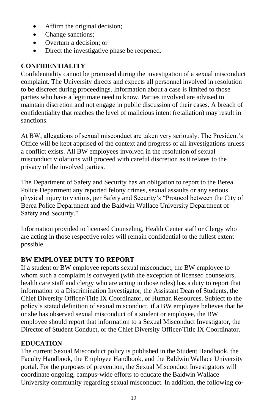- Affirm the original decision;
- Change sanctions;
- Overturn a decision; or
- Direct the investigative phase be reopened.

#### **CONFIDENTIALITY**

Confidentiality cannot be promised during the investigation of a sexual misconduct complaint. The University directs and expects all personnel involved in resolution to be discreet during proceedings. Information about a case is limited to those parties who have a legitimate need to know. Parties involved are advised to maintain discretion and not engage in public discussion of their cases. A breach of confidentiality that reaches the level of malicious intent (retaliation) may result in sanctions.

At BW, allegations of sexual misconduct are taken very seriously. The President's Office will be kept apprised of the context and progress of all investigations unless a conflict exists. All BW employees involved in the resolution of sexual misconduct violations will proceed with careful discretion as it relates to the privacy of the involved parties.

The Department of Safety and Security has an obligation to report to the Berea Police Department any reported felony crimes, sexual assaults or any serious physical injury to victims, per Safety and Security's "Protocol between the City of Berea Police Department and the Baldwin Wallace University Department of Safety and Security."

Information provided to licensed Counseling, Health Center staff or Clergy who are acting in those respective roles will remain confidential to the fullest extent possible.

#### **BW EMPLOYEE DUTY TO REPORT**

If a student or BW employee reports sexual misconduct, the BW employee to whom such a complaint is conveyed (with the exception of licensed counselors, health care staff and clergy who are acting in those roles) has a duty to report that information to a Discrimination Investigator, the Assistant Dean of Students, the Chief Diversity Officer/Title IX Coordinator, or Human Resources. Subject to the policy's stated definition of sexual misconduct, if a BW employee believes that he or she has observed sexual misconduct of a student or employee, the BW employee should report that information to a Sexual Misconduct Investigator, the Director of Student Conduct, or the Chief Diversity Officer/Title IX Coordinator.

#### **EDUCATION**

The current Sexual Misconduct policy is published in the Student Handbook, the Faculty Handbook, the Employee Handbook, and the Baldwin Wallace University portal. For the purposes of prevention, the Sexual Misconduct Investigators will coordinate ongoing, campus‐wide efforts to educate the Baldwin Wallace University community regarding sexual misconduct. In addition, the following co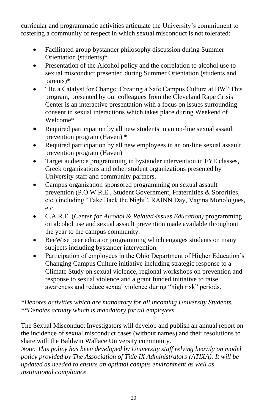curricular and programmatic activities articulate the University's commitment to fostering a community of respect in which sexual misconduct is not tolerated:

- Facilitated group bystander philosophy discussion during Summer Orientation (students)\*
- Presentation of the Alcohol policy and the correlation to alcohol use to sexual misconduct presented during Summer Orientation (students and parents)\*
- "Be a Catalyst for Change: Creating a Safe Campus Culture at BW" This program, presented by our colleagues from the Cleveland Rape Crisis Center is an interactive presentation with a focus on issues surrounding consent in sexual interactions which takes place during Weekend of Welcome\*
- Required participation by all new students in an on-line sexual assault prevention program (Haven) \*
- Required participation by all new employees in an on-line sexual assault prevention program (Haven)
- Target audience programming in bystander intervention in FYE classes, Greek organizations and other student organizations presented by University staff and community partners.
- Campus organization sponsored programming on sexual assault prevention (P.O.W.R.E., Student Government, Fraternities & Sororities, etc.) including "Take Back the Night", RAINN Day, Vagina Monologues, etc.
- C.A.R.E. (*Center for Alcohol & Related*‐*issues Education)* programming on alcohol use and sexual assault prevention made available throughout the year to the campus community.
- BeeWise peer educator programming which engages students on many subjects including bystander intervention.
- Participation of employees in the Ohio Department of Higher Education's Changing Campus Culture initiative including strategic response to a Climate Study on sexual violence, regional workshops on prevention and response to sexual violence and a grant funded initiative to raise awareness and reduce sexual violence during "high risk" periods.

#### *\*Denotes activities which are mandatory for all incoming University Students. \*\*Denotes activity which is mandatory for all employees*

The Sexual Misconduct Investigators will develop and publish an annual report on the incidence of sexual misconduct cases (without names) and their resolutions to share with the Baldwin Wallace University community.

*Note: This policy has been developed by University staff relying heavily on model policy provided by The Association of Title IX Administrators (ATIXA). It will be updated as needed to ensure an optimal campus environment as well as institutional compliance.*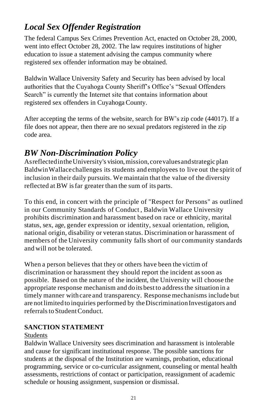# *Local Sex Offender Registration*

The federal Campus Sex Crimes Prevention Act, enacted on October 28, 2000, went into effect October 28, 2002. The law requires institutions of higher education to issue a statement advising the campus community where registered sex offender information may be obtained.

Baldwin Wallace University Safety and Security has been advised by local authorities that the Cuyahoga County Sheriff's Office's "Sexual Offenders Search" is currently the Internet site that contains information about registered sex offenders in Cuyahoga County.

After accepting the terms of the website, search for BW's zip code (44017). If a file does not appear, then there are no sexual predators registered in the zip code area.

### *BW Non-Discrimination Policy*

As reflected in the University's vision, mission, core values and strategic plan BaldwinWallacechallenges its students and employees to live out the spirit of inclusion in their daily pursuits. We maintain that the value of the diversity reflected at BW isfar greater than the sum of its parts.

To this end, in concert with the principle of "Respect for Persons" as outlined in our Community Standards of Conduct, Baldwin Wallace University prohibits discrimination and harassment based on race or ethnicity, marital status, sex, age, gender expression or identity, sexual orientation, religion, national origin, disability or veteran status. Discrimination or harassment of members of the University community falls short of our community standards and will not be tolerated.

When a person believes that they or others have been the victim of discrimination or harassment they should report the incident assoon as possible. Based on the nature of the incident, the University will choose the appropriate response mechanism and doits bestto addressthe situation in a timely manner with care and transparency. Response mechanisms include but are not limited to inquiries performed by the Discrimination Investigators and referrals to Student Conduct.

#### **SANCTION STATEMENT**

#### Students

Baldwin Wallace University sees discrimination and harassment is intolerable and cause for significant institutional response. The possible sanctions for students at the disposal of the Institution are warnings, probation, educational programming, service or co-curricular assignment, counseling or mental health assessments, restrictions of contact or participation, reassignment of academic schedule or housing assignment, suspension or dismissal.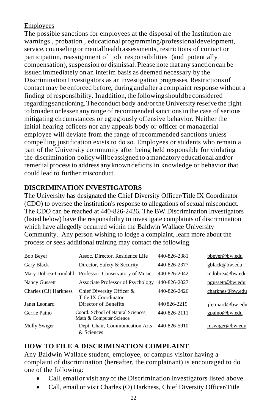#### Employees

The possible sanctions for employees at the disposal of the Institution are warnings, probation, educational programming/professional development, service, counseling or mental health assessments, restrictions of contact or participation, reassignment of job responsibilities (and potentially compensation),suspension or dismissal.Please note that any sanction can be issued immediately on an interim basis as deemed necessary by the Discrimination Investigators as an investigation progresses. Restrictions of contact may be enforced before, during and after a complaint response without a finding of responsibility. Inaddition,the followingshould beconsidered regardingsanctioning.Theconduct body and/orthe University reserve the right to broaden orlessen any range of recommended sanctionsin the case of serious mitigating circumstances or egregiously offensive behavior. Neither the initial hearing officers nor any appeals body or officer or managerial employee will deviate from the range of recommended sanctions unless compelling justification exists to do so. Employees or students who remain a part of the University community after being held responsible for violating the discrimination policywillbeassigned to amandatory educational and/or remedialprocessto address any known deficits in knowledge or behavior that could lead to further misconduct.

#### **DISCRIMINATION INVESTIGATORS**

The University has designated the Chief Diversity Officer/Title IX Coordinator (CDO) to oversee the institution's response to allegations of sexual misconduct. The CDO can be reached at 440-826-2426. The BW Discrimination Investigators (listed below) have the responsibility to investigate complaints of discrimination which have allegedly occurred within the Baldwin Wallace University Community. Any person wishing to lodge a complaint, learn more about the process or seek additional training may contact the following.

| <b>Bob Beyer</b>      | Assoc. Director, Residence Life                               | 440-826-2381 | bbeyer@bw.edu   |
|-----------------------|---------------------------------------------------------------|--------------|-----------------|
| Gary Black            | Director, Safety & Security                                   | 440-826-2377 | gblack@bw.edu   |
| Mary Dobrea-Grindahl  | Professor, Conservatory of Music                              | 440-826-2042 | mdobrea@bw.edu  |
| Nancy Gussett         | Associate Professor of Psychology                             | 440-826-2027 | ngussett@bw.edu |
| Charles (CJ) Harkness | Chief Diversity Officer &<br>Title IX Coordinator             | 440-826-2426 | charknes@bw.edu |
| Janet Leonard         | Director of Benefits                                          | 440826-2219  | ileonard@bw.edu |
| Gerrie Paino          | Coord. School of Natural Sciences.<br>Math & Computer Science | 440-826-2111 | gpaino@bw.edu   |
| Molly Swiger          | Dept. Chair, Communication Arts<br>& Sciences                 | 440-826-5910 | mswiger@bw.edu  |

#### **HOW TO FILE A DISCRIMINATION COMPLAINT**

Any Baldwin Wallace student, employee, or campus visitor having a complaint of discrimination (hereafter, the complainant) is encouraged to do one of the following:

- Call, emailor visit any of the Discrimination Investigators listed above.
- Call, email or visit Charles (O) Harkness, Chief Diversity Officer/Title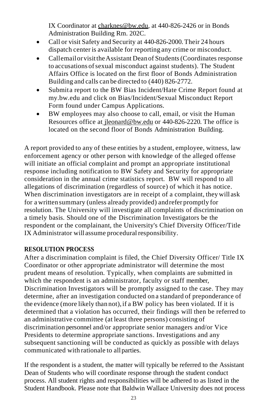IX Coordinator a[t charknes@bw.edu, a](mailto:charknes@bw.edu)t 440-826-2426 or in Bonds Administration Building Rm. 202C.

- Call or visit Safety and Security at 440-826-2000. Their 24 hours dispatch center is available for reporting any crime or misconduct.
- Callemail or visit the Assistant Dean of Students (Coordinates response to accusations ofsexual misconduct against students). The Student Affairs Office is located on the first floor of Bonds Administration Building and calls can be directed to (440) 826-2772.
- Submita report to the BW Bias Incident/Hate Crime Report found at my.bw.edu and click on Bias/Incident/Sexual Misconduct Report Form found under Campus Applications.
- BW employees may also choose to call, email, or visit the Human Resources office at [jleonard@bw.edu](mailto:jleonard@bw.edu) or 440-826-2220. The office is located on the second floor of Bonds Administration Building.

A report provided to any of these entities by a student, employee, witness, law enforcement agency or other person with knowledge of the alleged offense will initiate an official complaint and prompt an appropriate institutional response including notification to BW Safety and Security for appropriate consideration in the annual crime statistics report. BW will respond to all allegations of discrimination (regardless of source) of which it has notice. When discrimination investigators are in receipt of a complaint, they will ask for a written summary (unless already provided) andrefer promptly for resolution. The University will investigate all complaints of discrimination on a timely basis. Should one of the Discrimination Investigators be the respondent or the complainant, the University's Chief Diversity Officer/Title IX Administrator will assume procedural responsibility.

#### **RESOLUTION PROCESS**

After a discrimination complaint is filed, the Chief Diversity Officer/ Title IX Coordinator or other appropriate administrator will determine the most prudent means of resolution. Typically, when complaints are submitted in which the respondent is an administrator, faculty or staff member, Discrimination Investigators will be promptly assigned to the case. They may determine, after an investigation conducted on a standard of preponderance of the evidence (more likely than not), if a BW policy has been violated. If it is determined that a violation has occurred, their findings will then be referred to an administrative committee (atleast three persons) consisting of discrimination personnel and/or appropriate senior managers and/or Vice Presidents to determine appropriate sanctions. Investigations and any subsequent sanctioning will be conducted as quickly as possible with delays communicated with rationale to allparties.

If the respondent is a student, the matter will typically be referred to the Assistant Dean of Students who will coordinate response through the student conduct process. All student rights and responsibilities will be adhered to as listed in the Student Handbook. Please note that Baldwin Wallace University does not process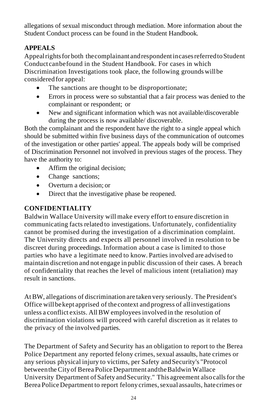allegations of sexual misconduct through mediation. More information about the Student Conduct process can be found in the Student Handbook.

#### **APPEALS**

Appealrightsfor both thecomplainant andrespondentincasesreferredtoStudent Conduct canbefound in the Student Handbook. For cases in which Discrimination Investigations took place, the following grounds willbe considered for appeal:

- The sanctions are thought to be disproportionate;
- Errors in process were so substantial that a fair process was denied to the complainant or respondent; or
- New and significant information which was not available/discoverable during the process is now available/ discoverable.

Both the complainant and the respondent have the right to a single appeal which should be submitted within five business days of the communication of outcomes of the investigation or other parties' appeal. The appeals body will be comprised of Discrimination Personnel not involved in previous stages of the process. They have the authority to:

- Affirm the original decision;
- Change sanctions:
- Overturn a decision: or
- Direct that the investigative phase be reopened.

#### **CONFIDENTIALITY**

Baldwin Wallace University will make every effort to ensure discretion in communicating facts related to investigations. Unfortunately, confidentiality cannot be promised during the investigation of a discrimination complaint. The University directs and expects all personnel involved in resolution to be discreet during proceedings. Information about a case is limited to those parties who have a legitimate need to know.Parties involved are advised to maintain discretion and not engage in public discussion of their cases. A breach of confidentiality that reaches the level of malicious intent (retaliation) may result in sanctions.

At BW, allegations of discrimination are taken very seriously. The President's Office willbekept apprised of the context and progress of allinvestigations unless a conflict exists. AllBW employees involved in the resolution of discrimination violations will proceed with careful discretion as it relates to the privacy of the involved parties.

The Department of Safety and Security has an obligation to report to the Berea Police Department any reported felony crimes, sexual assaults, hate crimes or any serious physicalinjury to victims, per Safety andSecurity's "Protocol between the City of Berea Police Department and the Baldwin Wallace University Department of Safety and Security." This agreement also calls for the Berea Police Department to report felony crimes, sexual assaults, hatecrimes or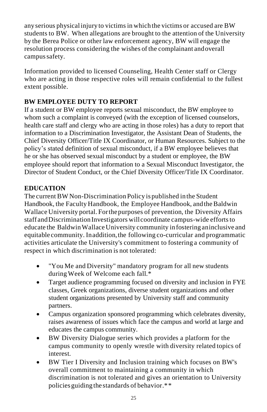any serious physical injury to victims in which the victims or accused are BW students to BW. When allegations are brought to the attention of the University by the Berea Police or other law enforcement agency, BW will engage the resolution process considering the wishes of the complainant andoverall campus safety.

Information provided to licensed Counseling, Health Center staff or Clergy who are acting in those respective roles will remain confidential to the fullest extent possible.

#### **BW EMPLOYEE DUTY TO REPORT**

If a student or BW employee reports sexual misconduct, the BW employee to whom such a complaint is conveyed (with the exception of licensed counselors, health care staff and clergy who are acting in those roles) has a duty to report that information to a Discrimination Investigator, the Assistant Dean of Students, the Chief Diversity Officer/Title IX Coordinator, or Human Resources. Subject to the policy's stated definition of sexual misconduct, if a BW employee believes that he or she has observed sexual misconduct by a student or employee, the BW employee should report that information to a Sexual Misconduct Investigator, the Director of Student Conduct, or the Chief Diversity Officer/Title IX Coordinator.

#### **EDUCATION**

The current BW Non-Discrimination Policy is published in the Student Handbook, the Faculty Handbook, the Employee Handbook, and the Baldwin Wallace University portal.Forthepurposes of prevention, the Diversity Affairs staff and Discrimination Investigators will coordinate campus-wide efforts to educate the BaldwinWallaceUniversity community in fostering aninclusive and equitable community. Inaddition,the following co-curricular and programmatic activities articulate the University's commitment to fostering a community of respect in which discrimination is not tolerated:

- "You Me and Diversity" mandatory program for all new students duringWeek of Welcome each fall.\*
- Target audience programming focused on diversity and inclusion in FYE classes, Greek organizations, diverse student organizations and other student organizations presented by University staff and community partners.
- Campus organization sponsored programming which celebrates diversity, raises awareness of issues which face the campus and world at large and educates the campus community.
- BW Diversity Dialogue series which provides a platform for the campus community to openly wrestle with diversity related topics of interest.
- BW Tier I Diversity and Inclusion training which focuses on BW's overall commitment to maintaining a community in which discrimination is not tolerated and gives an orientation to University policiesguiding the standards of behavior.\*\*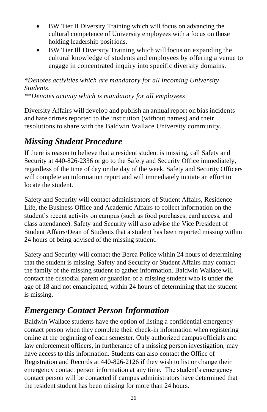- BW Tier II Diversity Training which will focus on advancing the cultural competence of University employees with a focus on those holding leadership positions.
- BW Tier Ill Diversity Training which will focus on expanding the cultural knowledge of students and employees by offering a venue to engage in concentrated inquiry into specific diversity domains.

#### *\*Denotes activities which are mandatory for all incoming University Students.*

*\*\*Denotes activity which is mandatory for all employees*

Diversity Affairs will develop and publish an annual report on bias incidents and hate crimes reported to the institution (without names) and their resolutions to share with the Baldwin Wallace University community.

# *Missing Student Procedure*

If there is reason to believe that a resident student is missing, call Safety and Security at 440-826-2336 or go to the Safety and Security Office immediately, regardless of the time of day or the day of the week. Safety and Security Officers will complete an information report and will immediately initiate an effort to locate the student.

Safety and Security will contact administrators of Student Affairs, Residence Life, the Business Office and Academic Affairs to collect information on the student's recent activity on campus (such as food purchases, card access, and class attendance). Safety and Security will also advise the Vice President of Student Affairs/Dean of Students that a student has been reported missing within 24 hours of being advised of the missing student.

Safety and Security will contact the Berea Police within 24 hours of determining that the student is missing. Safety and Security or Student Affairs may contact the family of the missing student to gather information. Baldwin Wallace will contact the custodial parent or guardian of a missing student who is under the age of 18 and not emancipated, within 24 hours of determining that the student is missing.

# *Emergency Contact Person Information*

Baldwin Wallace students have the option of listing a confidential emergency contact person when they complete their check-in information when registering online at the beginning of each semester. Only authorized campus officials and law enforcement officers, in furtherance of a missing person investigation, may have access to this information. Students can also contact the Office of Registration and Records at 440-826-2126 if they wish to list or change their emergency contact person information at any time. The student's emergency contact person will be contacted if campus administrators have determined that the resident student has been missing for more than 24 hours.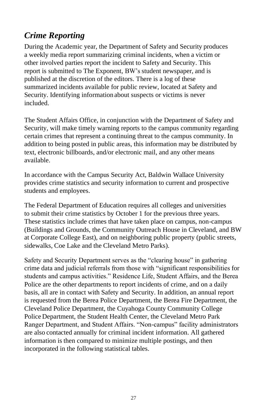# *Crime Reporting*

During the Academic year, the Department of Safety and Security produces a weekly media report summarizing criminal incidents, when a victim or other involved parties report the incident to Safety and Security. This report is submitted to The Exponent, BW's student newspaper, and is published at the discretion of the editors. There is a log of these summarized incidents available for public review, located at Safety and Security. Identifying information about suspects or victims is never included.

The Student Affairs Office, in conjunction with the Department of Safety and Security, will make timely warning reports to the campus community regarding certain crimes that represent a continuing threat to the campus community. In addition to being posted in public areas, this information may be distributed by text, electronic billboards, and/or electronic mail, and any other means available.

In accordance with the Campus Security Act, Baldwin Wallace University provides crime statistics and security information to current and prospective students and employees.

The Federal Department of Education requires all colleges and universities to submit their crime statistics by October 1 for the previous three years. These statistics include crimes that have taken place on campus, non-campus (Buildings and Grounds, the Community Outreach House in Cleveland, and BW at Corporate College East), and on neighboring public property (public streets, sidewalks, Coe Lake and the Cleveland Metro Parks).

Safety and Security Department serves as the "clearing house" in gathering crime data and judicial referrals from those with "significant responsibilities for students and campus activities." Residence Life, Student Affairs, and the Berea Police are the other departments to report incidents of crime, and on a daily basis, all are in contact with Safety and Security. In addition, an annual report is requested from the Berea Police Department, the Berea Fire Department, the Cleveland Police Department, the Cuyahoga County Community College Police Department, the Student Health Center, the Cleveland Metro Park Ranger Department, and Student Affairs. "Non-campus" facility administrators are also contacted annually for criminal incident information. All gathered information is then compared to minimize multiple postings, and then incorporated in the following statistical tables.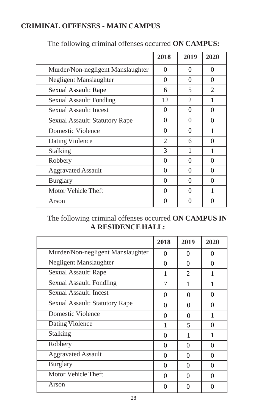### **CRIMINAL OFFENSES - MAIN CAMPUS**

|                                   | 2018           | 2019 | 2020          |
|-----------------------------------|----------------|------|---------------|
| Murder/Non-negligent Manslaughter | 0              | 0    | $\Omega$      |
| Negligent Manslaughter            | $\theta$       | 0    | 0             |
| Sexual Assault: Rape              | 6              | 5    | $\mathcal{L}$ |
| Sexual Assault: Fondling          | 12             | 2    | 1             |
| Sexual Assault: Incest            | 0              | 0    | 0             |
| Sexual Assault: Statutory Rape    | 0              | 0    | 0             |
| Domestic Violence                 | $\Omega$       | 0    | 1             |
| Dating Violence                   | $\overline{2}$ | 6    | 0             |
| Stalking                          | 3              | 1    | 1             |
| Robbery                           | $\Omega$       | 0    | 0             |
| <b>Aggravated Assault</b>         | 0              | 0    | 0             |
| <b>Burglary</b>                   | 0              | 0    | 0             |
| Motor Vehicle Theft               | $\Omega$       | 0    | 1             |
| Arson                             | 0              | 0    | $\mathcal{O}$ |

#### The following criminal offenses occurred **ON CAMPUS:**

The following criminal offenses occurred **ON CAMPUS IN A RESIDENCEHALL:**

|                                   | 2018     | 2019           | 2020     |
|-----------------------------------|----------|----------------|----------|
| Murder/Non-negligent Manslaughter | 0        | 0              | 0        |
| Negligent Manslaughter            | 0        | 0              | 0        |
| Sexual Assault: Rape              | 1        | $\mathfrak{D}$ | 1        |
| Sexual Assault: Fondling          | 7        | 1              | 1        |
| <b>Sexual Assault: Incest</b>     | $\Omega$ | $\Omega$       | $\Omega$ |
| Sexual Assault: Statutory Rape    | 0        | 0              | 0        |
| Domestic Violence                 | $\Omega$ | 0              | 1        |
| <b>Dating Violence</b>            | 1        | $\overline{5}$ | 0        |
| Stalking                          | 0        | 1              | 1        |
| Robbery                           | $\Omega$ | 0              | $\Omega$ |
| <b>Aggravated Assault</b>         | $\Omega$ | 0              | 0        |
| <b>Burglary</b>                   | $\theta$ | $\Omega$       | $\Omega$ |
| Motor Vehicle Theft               | 0        | 0              | 0        |
| Arson                             | 0        | 0              |          |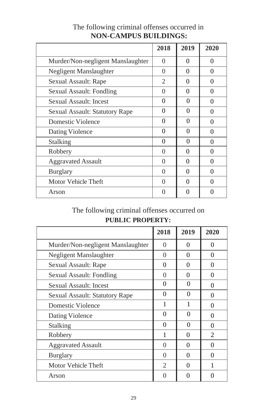|                                   | 2018     | 2019              | 2020         |
|-----------------------------------|----------|-------------------|--------------|
| Murder/Non-negligent Manslaughter | $\theta$ | 0                 | 0            |
| Negligent Manslaughter            | $\Omega$ | 0                 | 0            |
| Sexual Assault: Rape              | 2        | $\Omega$          | $\Omega$     |
| Sexual Assault: Fondling          | 0        | 0                 | $\theta$     |
| Sexual Assault: Incest            | $\Omega$ | $\Omega$          | 0            |
| Sexual Assault: Statutory Rape    | 0        | 0                 | $\mathbf{0}$ |
| Domestic Violence                 | 0        | 0                 | 0            |
| Dating Violence                   | $\Omega$ | 0                 | ∩            |
| Stalking                          | 0        | 0                 | $\Omega$     |
| Robbery                           | $\theta$ | 0                 | 0            |
| <b>Aggravated Assault</b>         | 0        | 0                 | 0            |
| <b>Burglary</b>                   | $\Omega$ | 0                 | 0            |
| Motor Vehicle Theft               | 0        | 0                 | $\Omega$     |
| Arson                             | 0        | $\mathbf{\Omega}$ |              |

#### The following criminal offenses occurred in **NON-CAMPUS BUILDINGS:**

# The following criminal offenses occurred on

### **PUBLIC PROPERTY:**

|                                   | 2018           | 2019     | 2020           |
|-----------------------------------|----------------|----------|----------------|
| Murder/Non-negligent Manslaughter | $\Omega$       | 0        | 0              |
| Negligent Manslaughter            | 0              | 0        | $\Omega$       |
| Sexual Assault: Rape              | 0              | 0        | 0              |
| Sexual Assault: Fondling          | 0              | 0        | $\theta$       |
| Sexual Assault: Incest            | 0              | 0        | 0              |
| Sexual Assault: Statutory Rape    | 0              | 0        | 0              |
| Domestic Violence                 | 1              |          | 0              |
| Dating Violence                   | $\Omega$       | $\Omega$ | ∩              |
| <b>Stalking</b>                   | 0              | 0        | 0              |
| Robbery                           | 1              | 0        | $\mathfrak{D}$ |
| <b>Aggravated Assault</b>         | $\theta$       | 0        | ∩              |
| <b>Burglary</b>                   | $\Omega$       | $\Omega$ | 0              |
| Motor Vehicle Theft               | $\mathfrak{D}$ | 0        |                |
| Arson                             | 0              | 0        |                |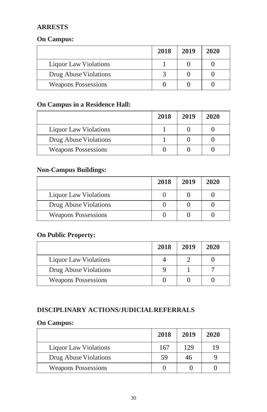#### **ARRESTS**

#### **On Campus:**

|                            | 2018 | 2019 | 2020 |
|----------------------------|------|------|------|
| Liquor Law Violations      |      |      |      |
| Drug Abuse Violations      |      |      |      |
| <b>Weapons Possessions</b> |      |      |      |

#### **On Campus in a Residence Hall:**

|                            | 2018 | 2019 | 2020 |
|----------------------------|------|------|------|
| Liquor Law Violations      |      |      |      |
| Drug Abuse Violations      |      |      |      |
| <b>Weapons Possessions</b> |      |      |      |

#### **Non-Campus Buildings:**

|                            | 2018 | 2019 | 2020 |
|----------------------------|------|------|------|
| Liquor Law Violations      |      |      |      |
| Drug Abuse Violations      |      |      |      |
| <b>Weapons Possessions</b> |      |      |      |

#### **On Public Property:**

|                            | 2018 | 2019 | 2020 |
|----------------------------|------|------|------|
| Liquor Law Violations      |      |      |      |
| Drug Abuse Violations      |      |      |      |
| <b>Weapons Possessions</b> |      |      |      |

### **DISCIPLINARY ACTIONS/JUDICIALREFERRALS**

#### **On Campus:**

|                              | 2018 | 2019 | 2020 |
|------------------------------|------|------|------|
| <b>Liquor Law Violations</b> | 167  | 129  | 19   |
| Drug Abuse Violations        | 59   | 46   |      |
| <b>Weapons Possessions</b>   |      |      |      |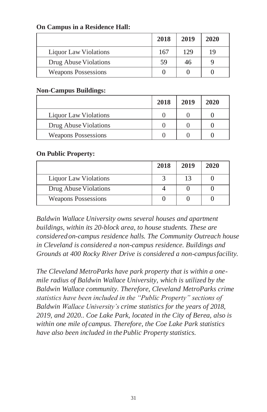|                            | 2018 | 2019 | 2020 |
|----------------------------|------|------|------|
| Liquor Law Violations      | 167  | 129  | 19   |
| Drug Abuse Violations      | 59   | 46   |      |
| <b>Weapons Possessions</b> |      |      |      |

#### **On Campus in a Residence Hall:**

#### **Non-Campus Buildings:**

|                              | 2018 | 2019 | 2020 |
|------------------------------|------|------|------|
| <b>Liquor Law Violations</b> |      |      |      |
| Drug Abuse Violations        |      |      |      |
| <b>Weapons Possessions</b>   |      |      |      |

#### **On Public Property:**

|                            | 2018 | 2019 | 2020 |
|----------------------------|------|------|------|
| Liquor Law Violations      |      | 13   |      |
| Drug Abuse Violations      |      |      |      |
| <b>Weapons Possessions</b> |      |      |      |

*Baldwin Wallace University owns several houses and apartment buildings, within its 20-block area, to house students. These are considered on-campus residence halls. The Community Outreach house in Cleveland is considered a non-campus residence. Buildings and Grounds at 400 Rocky River Drive is considered a non-campusfacility.*

*The Cleveland MetroParks have park property that is within a onemile radius of Baldwin Wallace University, which is utilized by the Baldwin Wallace community. Therefore, Cleveland MetroParks crime statistics have been included in the "Public Property" sections of Baldwin Wallace University's crime statistics for the years of 2018, 2019, and 2020.. Coe Lake Park, located in the City of Berea, also is within one mile of campus. Therefore, the Coe Lake Park statistics have also been included in thePublic Property statistics.*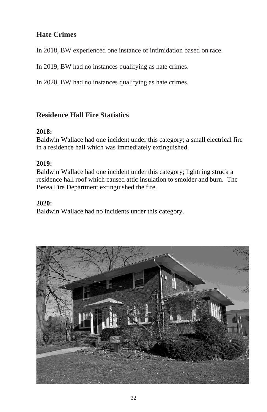### **Hate Crimes**

In 2018, BW experienced one instance of intimidation based on race.

In 2019, BW had no instances qualifying as hate crimes.

In 2020, BW had no instances qualifying as hate crimes.

### **Residence Hall Fire Statistics**

#### **2018:**

Baldwin Wallace had one incident under this category; a small electrical fire in a residence hall which was immediately extinguished.

#### **2019:**

Baldwin Wallace had one incident under this category; lightning struck a residence hall roof which caused attic insulation to smolder and burn. The Berea Fire Department extinguished the fire.

#### **2020:**

Baldwin Wallace had no incidents under this category.

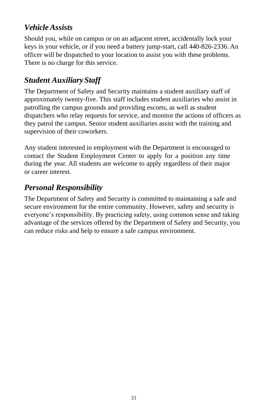### *Vehicle Assists*

Should you, while on campus or on an adjacent street, accidentally lock your keys in your vehicle, or if you need a battery jump-start, call 440-826-2336. An officer will be dispatched to your location to assist you with these problems. There is no charge for this service.

### *Student Auxiliary Staff*

The Department of Safety and Security maintains a student auxiliary staff of approximately twenty-five. This staff includes student auxiliaries who assist in patrolling the campus grounds and providing escorts, as well as student dispatchers who relay requests for service, and monitor the actions of officers as they patrol the campus. Senior student auxiliaries assist with the training and supervision of their coworkers.

Any student interested in employment with the Department is encouraged to contact the Student Employment Center to apply for a position any time during the year. All students are welcome to apply regardless of their major or career interest.

### *Personal Responsibility*

The Department of Safety and Security is committed to maintaining a safe and secure environment for the entire community. However, safety and security is everyone's responsibility. By practicing safety, using common sense and taking advantage of the services offered by the Department of Safety and Security, you can reduce risks and help to ensure a safe campus environment.